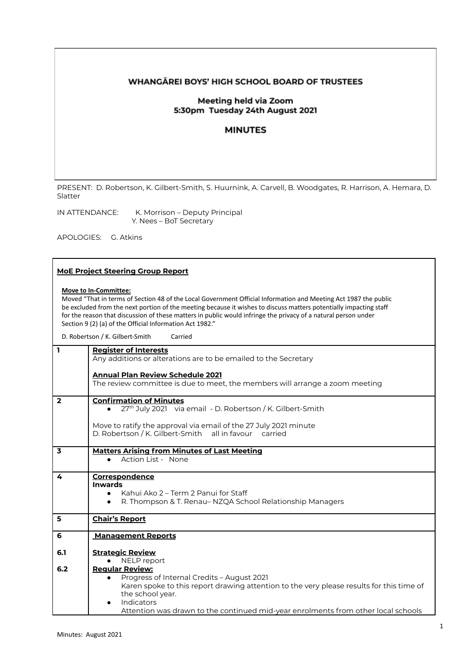# WHANGĀREI BOYS' HIGH SCHOOL BOARD OF TRUSTEES

# Meeting held via Zoom 5:30pm Tuesday 24th August 2021

# **MINUTES**

PRESENT: D. Robertson, K. Gilbert-Smith, S. Huurnink, A. Carvell, B. Woodgates, R. Harrison, A. Hemara, D. Slatter

IN ATTENDANCE: K. Morrison – Deputy Principal Y. Nees – BoT Secretary

APOLOGIES: G. Atkins

### **MoE Project Steering Group Report**

### **Move to In-Committee:**

Moved "That in terms of Section 48 of the Local Government Official Information and Meeting Act 1987 the public be excluded from the next portion of the meeting because it wishes to discuss matters potentially impacting staff for the reason that discussion of these matters in public would infringe the privacy of a natural person under Section 9 (2) (a) of the Official Information Act 1982."

D. Robertson / K. Gilbert-Smith Carried

| $\overline{\mathbf{1}}$ | <b>Register of Interests</b><br>Any additions or alterations are to be emailed to the Secretary<br><b>Annual Plan Review Schedule 2021</b><br>The review committee is due to meet, the members will arrange a zoom meeting                                                                                        |
|-------------------------|-------------------------------------------------------------------------------------------------------------------------------------------------------------------------------------------------------------------------------------------------------------------------------------------------------------------|
| $\overline{2}$          | <b>Confirmation of Minutes</b><br>27 <sup>th</sup> July 2021 via email - D. Robertson / K. Gilbert-Smith<br>Move to ratify the approval via email of the 27 July 2021 minute<br>D. Robertson / K. Gilbert-Smith all in favour carried                                                                             |
| $\overline{\mathbf{3}}$ | <b>Matters Arising from Minutes of Last Meeting</b><br>Action List - None                                                                                                                                                                                                                                         |
| 4                       | Correspondence<br><b>Inwards</b><br>Kahui Ako 2 – Term 2 Panui for Staff<br>$\bullet$<br>R. Thompson & T. Renau– NZQA School Relationship Managers<br>$\bullet$                                                                                                                                                   |
| 5                       | <b>Chair's Report</b>                                                                                                                                                                                                                                                                                             |
| 6                       | <b>Management Reports</b>                                                                                                                                                                                                                                                                                         |
| 6.1                     | <b>Strategic Review</b><br>NELP report                                                                                                                                                                                                                                                                            |
| 6.2                     | <b>Regular Review:</b><br>Progress of Internal Credits - August 2021<br>$\bullet$<br>Karen spoke to this report drawing attention to the very please results for this time of<br>the school year.<br>Indicators<br>$\bullet$<br>Attention was drawn to the continued mid-year enrolments from other local schools |